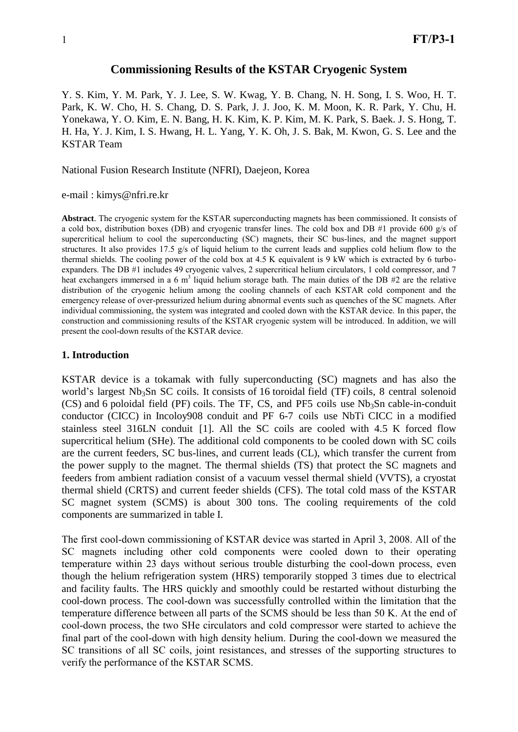#### **Commissioning Results of the KSTAR Cryogenic System**

Y. S. Kim, Y. M. Park, Y. J. Lee, S. W. Kwag, Y. B. Chang, N. H. Song, I. S. Woo, H. T. Park, K. W. Cho, H. S. Chang, D. S. Park, J. J. Joo, K. M. Moon, K. R. Park, Y. Chu, H. Yonekawa, Y. O. Kim, E. N. Bang, H. K. Kim, K. P. Kim, M. K. Park, S. Baek. J. S. Hong, T. H. Ha, Y. J. Kim, I. S. Hwang, H. L. Yang, Y. K. Oh, J. S. Bak, M. Kwon, G. S. Lee and the KSTAR Team

National Fusion Research Institute (NFRI), Daejeon, Korea

e-mail : kimys@nfri.re.kr

**Abstract**. The cryogenic system for the KSTAR superconducting magnets has been commissioned. It consists of a cold box, distribution boxes (DB) and cryogenic transfer lines. The cold box and DB #1 provide 600 g/s of supercritical helium to cool the superconducting (SC) magnets, their SC bus-lines, and the magnet support structures. It also provides 17.5 g/s of liquid helium to the current leads and supplies cold helium flow to the thermal shields. The cooling power of the cold box at 4.5 K equivalent is 9 kW which is extracted by 6 turboexpanders. The DB #1 includes 49 cryogenic valves, 2 supercritical helium circulators, 1 cold compressor, and 7 heat exchangers immersed in a 6  $m<sup>3</sup>$  liquid helium storage bath. The main duties of the DB #2 are the relative distribution of the cryogenic helium among the cooling channels of each KSTAR cold component and the emergency release of over-pressurized helium during abnormal events such as quenches of the SC magnets. After individual commissioning, the system was integrated and cooled down with the KSTAR device. In this paper, the construction and commissioning results of the KSTAR cryogenic system will be introduced. In addition, we will present the cool-down results of the KSTAR device.

#### **1. Introduction**

KSTAR device is a tokamak with fully superconducting (SC) magnets and has also the world's largest Nb<sub>3</sub>Sn SC coils. It consists of 16 toroidal field (TF) coils, 8 central solenoid  $(CS)$  and 6 poloidal field (PF) coils. The TF, CS, and PF5 coils use Nb<sub>3</sub>Sn cable-in-conduit conductor (CICC) in Incoloy908 conduit and PF 6-7 coils use NbTi CICC in a modified stainless steel 316LN conduit [1]. All the SC coils are cooled with 4.5 K forced flow supercritical helium (SHe). The additional cold components to be cooled down with SC coils are the current feeders, SC bus-lines, and current leads (CL), which transfer the current from the power supply to the magnet. The thermal shields (TS) that protect the SC magnets and feeders from ambient radiation consist of a vacuum vessel thermal shield (VVTS), a cryostat thermal shield (CRTS) and current feeder shields (CFS). The total cold mass of the KSTAR SC magnet system (SCMS) is about 300 tons. The cooling requirements of the cold components are summarized in table I.

The first cool-down commissioning of KSTAR device was started in April 3, 2008. All of the SC magnets including other cold components were cooled down to their operating temperature within 23 days without serious trouble disturbing the cool-down process, even though the helium refrigeration system (HRS) temporarily stopped 3 times due to electrical and facility faults. The HRS quickly and smoothly could be restarted without disturbing the cool-down process. The cool-down was successfully controlled within the limitation that the temperature difference between all parts of the SCMS should be less than 50 K. At the end of cool-down process, the two SHe circulators and cold compressor were started to achieve the final part of the cool-down with high density helium. During the cool-down we measured the SC transitions of all SC coils, joint resistances, and stresses of the supporting structures to verify the performance of the KSTAR SCMS.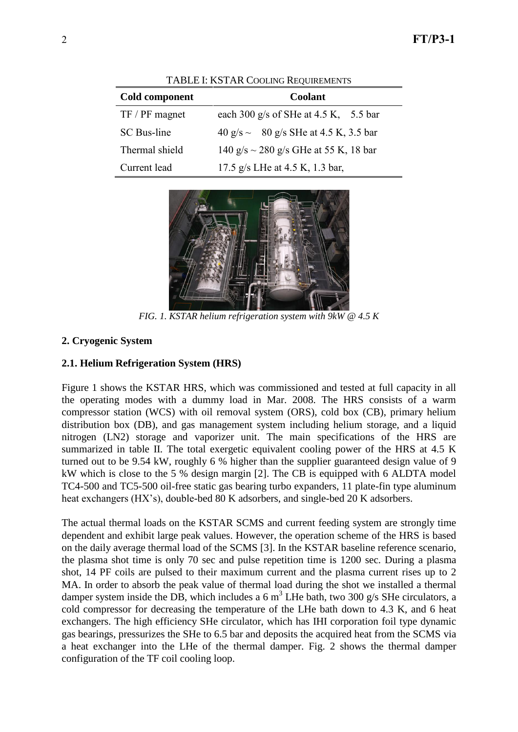| Cold component   | <b>Coolant</b>                             |  |
|------------------|--------------------------------------------|--|
| $TF / PF$ magnet | each 300 g/s of SHe at $4.5$ K, $5.5$ bar  |  |
| SC Bus-line      | 40 g/s $\sim$ 80 g/s SHe at 4.5 K, 3.5 bar |  |
| Thermal shield   | 140 g/s $\sim$ 280 g/s GHe at 55 K, 18 bar |  |
| Current lead     | 17.5 g/s LHe at 4.5 K, 1.3 bar,            |  |



*FIG. 1. KSTAR helium refrigeration system with 9kW @ 4.5 K*

## **2. Cryogenic System**

### **2.1. Helium Refrigeration System (HRS)**

Figure 1 shows the KSTAR HRS, which was commissioned and tested at full capacity in all the operating modes with a dummy load in Mar. 2008. The HRS consists of a warm compressor station (WCS) with oil removal system (ORS), cold box (CB), primary helium distribution box (DB), and gas management system including helium storage, and a liquid nitrogen (LN2) storage and vaporizer unit. The main specifications of the HRS are summarized in table II. The total exergetic equivalent cooling power of the HRS at 4.5 K turned out to be 9.54 kW, roughly 6 % higher than the supplier guaranteed design value of 9 kW which is close to the 5 % design margin [2]. The CB is equipped with 6 ALDTA model TC4-500 and TC5-500 oil-free static gas bearing turbo expanders, 11 plate-fin type aluminum heat exchangers (HX's), double-bed 80 K adsorbers, and single-bed 20 K adsorbers.

The actual thermal loads on the KSTAR SCMS and current feeding system are strongly time dependent and exhibit large peak values. However, the operation scheme of the HRS is based on the daily average thermal load of the SCMS [3]. In the KSTAR baseline reference scenario, the plasma shot time is only 70 sec and pulse repetition time is 1200 sec. During a plasma shot, 14 PF coils are pulsed to their maximum current and the plasma current rises up to 2 MA. In order to absorb the peak value of thermal load during the shot we installed a thermal damper system inside the DB, which includes a 6 m<sup>3</sup> LHe bath, two 300 g/s SHe circulators, a cold compressor for decreasing the temperature of the LHe bath down to 4.3 K, and 6 heat exchangers. The high efficiency SHe circulator, which has IHI corporation foil type dynamic gas bearings, pressurizes the SHe to 6.5 bar and deposits the acquired heat from the SCMS via a heat exchanger into the LHe of the thermal damper. Fig. 2 shows the thermal damper configuration of the TF coil cooling loop.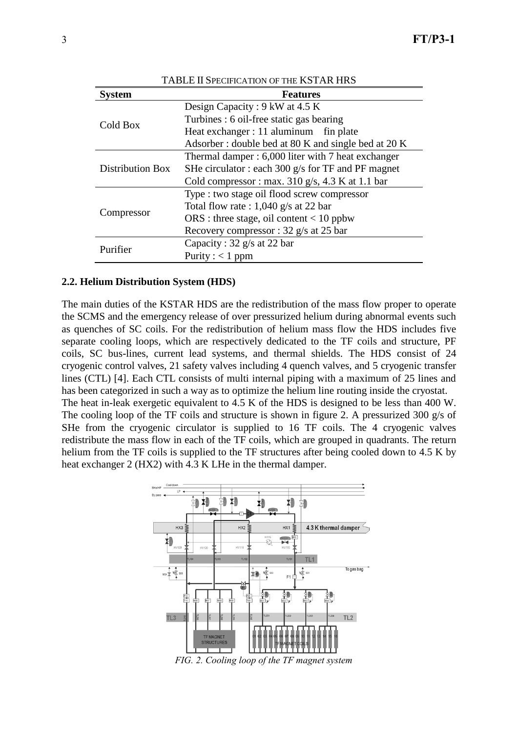| TABLE II SPECIFICATION OF THE KSTAR HRS |                                                             |  |  |  |
|-----------------------------------------|-------------------------------------------------------------|--|--|--|
| <b>System</b>                           | <b>Features</b>                                             |  |  |  |
| Cold Box                                | Design Capacity : $9 \text{ kW}$ at 4.5 K                   |  |  |  |
|                                         | Turbines : 6 oil-free static gas bearing                    |  |  |  |
|                                         | Heat exchanger : 11 aluminum fin plate                      |  |  |  |
|                                         | Adsorber: double bed at 80 K and single bed at 20 K         |  |  |  |
| <b>Distribution Box</b>                 | Thermal damper: 6,000 liter with 7 heat exchanger           |  |  |  |
|                                         | SHe circulator: each 300 $g/s$ for TF and PF magnet         |  |  |  |
|                                         | Cold compressor : max. $310 \text{ g/s}$ , 4.3 K at 1.1 bar |  |  |  |
| Compressor                              | Type : two stage oil flood screw compressor                 |  |  |  |
|                                         | Total flow rate : $1,040$ g/s at 22 bar                     |  |  |  |
|                                         | $ORS: three stage, oil content < 10$ ppbw                   |  |  |  |
|                                         | Recovery compressor : 32 g/s at 25 bar                      |  |  |  |
| Purifier                                | Capacity : $32 \frac{\text{g}}{\text{s}}$ at 22 bar         |  |  |  |
|                                         | Purity : $< 1$ ppm                                          |  |  |  |

#### **2.2. Helium Distribution System (HDS)**

The main duties of the KSTAR HDS are the redistribution of the mass flow proper to operate the SCMS and the emergency release of over pressurized helium during abnormal events such as quenches of SC coils. For the redistribution of helium mass flow the HDS includes five separate cooling loops, which are respectively dedicated to the TF coils and structure, PF coils, SC bus-lines, current lead systems, and thermal shields. The HDS consist of 24 cryogenic control valves, 21 safety valves including 4 quench valves, and 5 cryogenic transfer lines (CTL) [4]. Each CTL consists of multi internal piping with a maximum of 25 lines and has been categorized in such a way as to optimize the helium line routing inside the cryostat. The heat in-leak exergetic equivalent to 4.5 K of the HDS is designed to be less than 400 W.

The cooling loop of the TF coils and structure is shown in figure 2. A pressurized 300 g/s of SHe from the cryogenic circulator is supplied to 16 TF coils. The 4 cryogenic valves redistribute the mass flow in each of the TF coils, which are grouped in quadrants. The return helium from the TF coils is supplied to the TF structures after being cooled down to 4.5 K by heat exchanger 2 (HX2) with 4.3 K LHe in the thermal damper.



*FIG. 2. Cooling loop of the TF magnet system*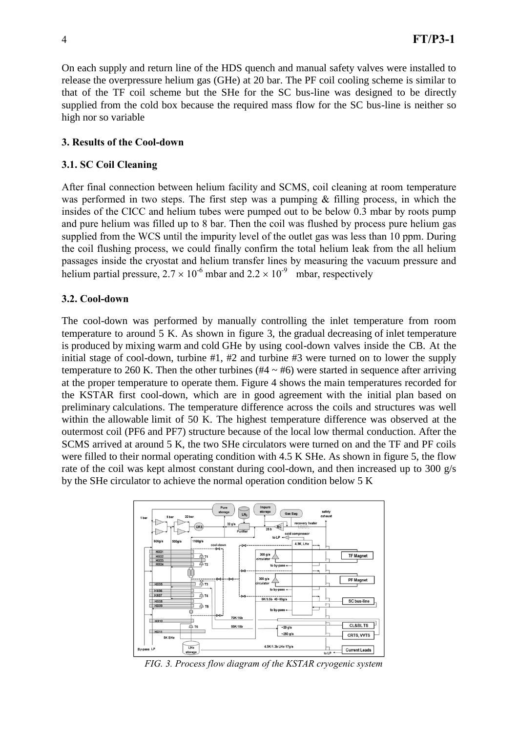On each supply and return line of the HDS quench and manual safety valves were installed to release the overpressure helium gas (GHe) at 20 bar. The PF coil cooling scheme is similar to that of the TF coil scheme but the SHe for the SC bus-line was designed to be directly supplied from the cold box because the required mass flow for the SC bus-line is neither so high nor so variable

### **3. Results of the Cool-down**

#### **3.1. SC Coil Cleaning**

After final connection between helium facility and SCMS, coil cleaning at room temperature was performed in two steps. The first step was a pumping  $\&$  filling process, in which the insides of the CICC and helium tubes were pumped out to be below 0.3 mbar by roots pump and pure helium was filled up to 8 bar. Then the coil was flushed by process pure helium gas supplied from the WCS until the impurity level of the outlet gas was less than 10 ppm. During the coil flushing process, we could finally confirm the total helium leak from the all helium passages inside the cryostat and helium transfer lines by measuring the vacuum pressure and helium partial pressure,  $2.7 \times 10^{-6}$  mbar and  $2.2 \times 10^{-9}$  mbar, respectively

#### **3.2. Cool-down**

The cool-down was performed by manually controlling the inlet temperature from room temperature to around 5 K. As shown in figure 3, the gradual decreasing of inlet temperature is produced by mixing warm and cold GHe by using cool-down valves inside the CB. At the initial stage of cool-down, turbine #1, #2 and turbine #3 were turned on to lower the supply temperature to 260 K. Then the other turbines ( $#4 \sim #6$ ) were started in sequence after arriving at the proper temperature to operate them. Figure 4 shows the main temperatures recorded for the KSTAR first cool-down, which are in good agreement with the initial plan based on preliminary calculations. The temperature difference across the coils and structures was well within the allowable limit of 50 K. The highest temperature difference was observed at the outermost coil (PF6 and PF7) structure because of the local low thermal conduction. After the SCMS arrived at around 5 K, the two SHe circulators were turned on and the TF and PF coils were filled to their normal operating condition with 4.5 K SHe. As shown in figure 5, the flow rate of the coil was kept almost constant during cool-down, and then increased up to 300 g/s by the SHe circulator to achieve the normal operation condition below 5 K



*FIG. 3. Process flow diagram of the KSTAR cryogenic system*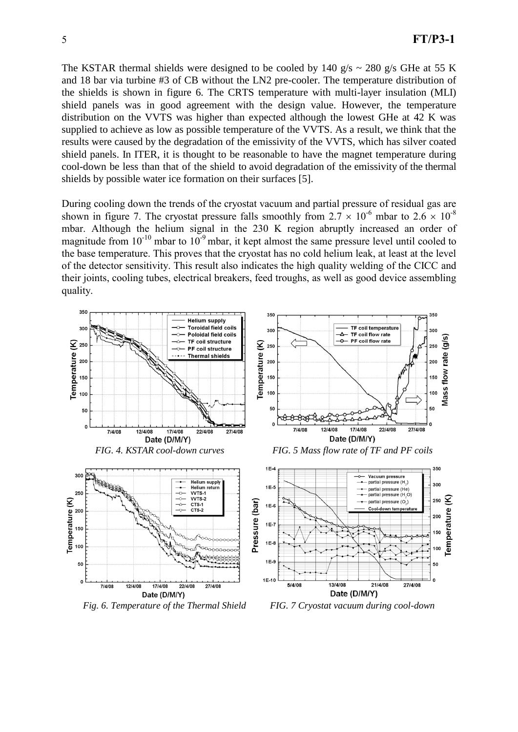The KSTAR thermal shields were designed to be cooled by 140 g/s  $\sim$  280 g/s GHe at 55 K and 18 bar via turbine #3 of CB without the LN2 pre-cooler. The temperature distribution of the shields is shown in figure 6. The CRTS temperature with multi-layer insulation (MLI) shield panels was in good agreement with the design value. However, the temperature distribution on the VVTS was higher than expected although the lowest GHe at 42 K was supplied to achieve as low as possible temperature of the VVTS. As a result, we think that the results were caused by the degradation of the emissivity of the VVTS, which has silver coated shield panels. In ITER, it is thought to be reasonable to have the magnet temperature during cool-down be less than that of the shield to avoid degradation of the emissivity of the thermal shields by possible water ice formation on their surfaces [5].

During cooling down the trends of the cryostat vacuum and partial pressure of residual gas are shown in figure 7. The cryostat pressure falls smoothly from  $2.7 \times 10^{-6}$  mbar to  $2.6 \times 10^{-8}$ mbar. Although the helium signal in the 230 K region abruptly increased an order of magnitude from  $10^{-10}$  mbar to  $10^{-9}$  mbar, it kept almost the same pressure level until cooled to the base temperature. This proves that the cryostat has no cold helium leak, at least at the level of the detector sensitivity. This result also indicates the high quality welding of the CICC and their joints, cooling tubes, electrical breakers, feed troughs, as well as good device assembling quality.



*Fig. 6. Temperature of the Thermal Shield FIG. 7 Cryostat vacuum during cool-down*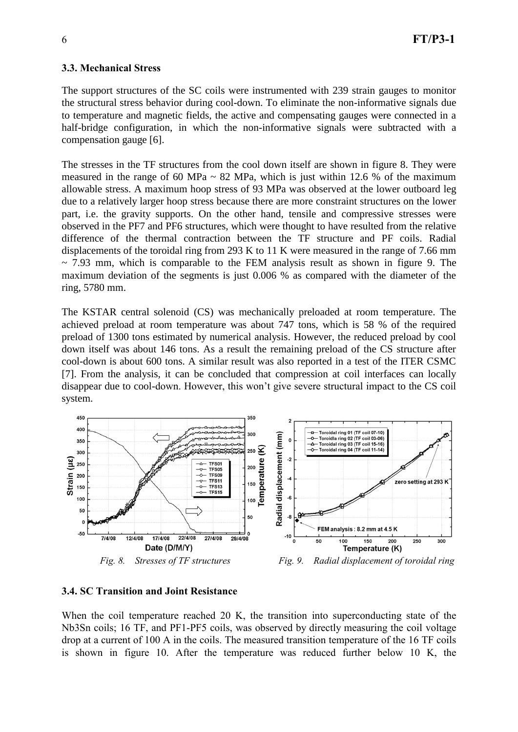#### **3.3. Mechanical Stress**

The support structures of the SC coils were instrumented with 239 strain gauges to monitor the structural stress behavior during cool-down. To eliminate the non-informative signals due to temperature and magnetic fields, the active and compensating gauges were connected in a half-bridge configuration, in which the non-informative signals were subtracted with a compensation gauge [6].

The stresses in the TF structures from the cool down itself are shown in figure 8. They were measured in the range of 60 MPa  $\sim$  82 MPa, which is just within 12.6 % of the maximum allowable stress. A maximum hoop stress of 93 MPa was observed at the lower outboard leg due to a relatively larger hoop stress because there are more constraint structures on the lower part, i.e. the gravity supports. On the other hand, tensile and compressive stresses were observed in the PF7 and PF6 structures, which were thought to have resulted from the relative difference of the thermal contraction between the TF structure and PF coils. Radial displacements of the toroidal ring from 293 K to 11 K were measured in the range of 7.66 mm  $\sim$  7.93 mm, which is comparable to the FEM analysis result as shown in figure 9. The maximum deviation of the segments is just 0.006 % as compared with the diameter of the ring, 5780 mm.

The KSTAR central solenoid (CS) was mechanically preloaded at room temperature. The achieved preload at room temperature was about 747 tons, which is 58 % of the required preload of 1300 tons estimated by numerical analysis. However, the reduced preload by cool down itself was about 146 tons. As a result the remaining preload of the CS structure after cool-down is about 600 tons. A similar result was also reported in a test of the ITER CSMC [7]. From the analysis, it can be concluded that compression at coil interfaces can locally disappear due to cool-down. However, this won't give severe structural impact to the CS coil system.



#### **3.4. SC Transition and Joint Resistance**

When the coil temperature reached 20 K, the transition into superconducting state of the Nb3Sn coils; 16 TF, and PF1-PF5 coils, was observed by directly measuring the coil voltage drop at a current of 100 A in the coils. The measured transition temperature of the 16 TF coils is shown in figure 10. After the temperature was reduced further below 10 K, the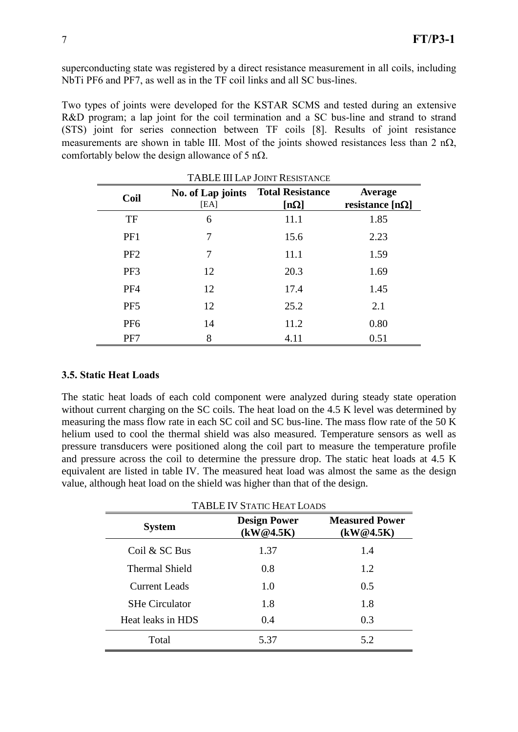superconducting state was registered by a direct resistance measurement in all coils, including NbTi PF6 and PF7, as well as in the TF coil links and all SC bus-lines.

Two types of joints were developed for the KSTAR SCMS and tested during an extensive R&D program; a lap joint for the coil termination and a SC bus-line and strand to strand (STS) joint for series connection between TF coils [8]. Results of joint resistance measurements are shown in table III. Most of the joints showed resistances less than 2 n $\Omega$ , comfortably below the design allowance of 5 n $\Omega$ .

| Coil            | No. of Lap joints<br>[EA] | <b>Total Resistance</b><br>[n $\Omega$ ] | <b>Average</b><br>resistance [n $\Omega$ ] |
|-----------------|---------------------------|------------------------------------------|--------------------------------------------|
| <b>TF</b>       | 6                         | 11.1                                     | 1.85                                       |
| PF1             | 7                         | 15.6                                     | 2.23                                       |
| P <sub>F2</sub> | 7                         | 11.1                                     | 1.59                                       |
| PF3             | 12                        | 20.3                                     | 1.69                                       |
| PF <sub>4</sub> | 12                        | 17.4                                     | 1.45                                       |
| PF <sub>5</sub> | 12                        | 25.2                                     | 2.1                                        |
| PF <sub>6</sub> | 14                        | 11.2                                     | 0.80                                       |
| PF7             | 8                         | 4.11                                     | 0.51                                       |

| <b>TABLE III LAP JOINT RESISTANCE</b> |
|---------------------------------------|
|                                       |

#### **3.5. Static Heat Loads**

The static heat loads of each cold component were analyzed during steady state operation without current charging on the SC coils. The heat load on the 4.5 K level was determined by measuring the mass flow rate in each SC coil and SC bus-line. The mass flow rate of the 50 K helium used to cool the thermal shield was also measured. Temperature sensors as well as pressure transducers were positioned along the coil part to measure the temperature profile and pressure across the coil to determine the pressure drop. The static heat loads at 4.5 K equivalent are listed in table IV. The measured heat load was almost the same as the design value, although heat load on the shield was higher than that of the design.

| <b>System</b>         | <b>Design Power</b><br>(kW@4.5K) | <b>Measured Power</b><br>(kW@4.5K) |
|-----------------------|----------------------------------|------------------------------------|
| Coil & SC Bus         | 1.37                             | 1.4                                |
| <b>Thermal Shield</b> | 0.8                              | 1.2                                |
| <b>Current Leads</b>  | 1.0                              | 0.5                                |
| <b>SHe Circulator</b> | 1.8                              | 1.8                                |
| Heat leaks in HDS     | 0.4                              | 0.3                                |
| Total                 | 5.37                             | 5.2                                |